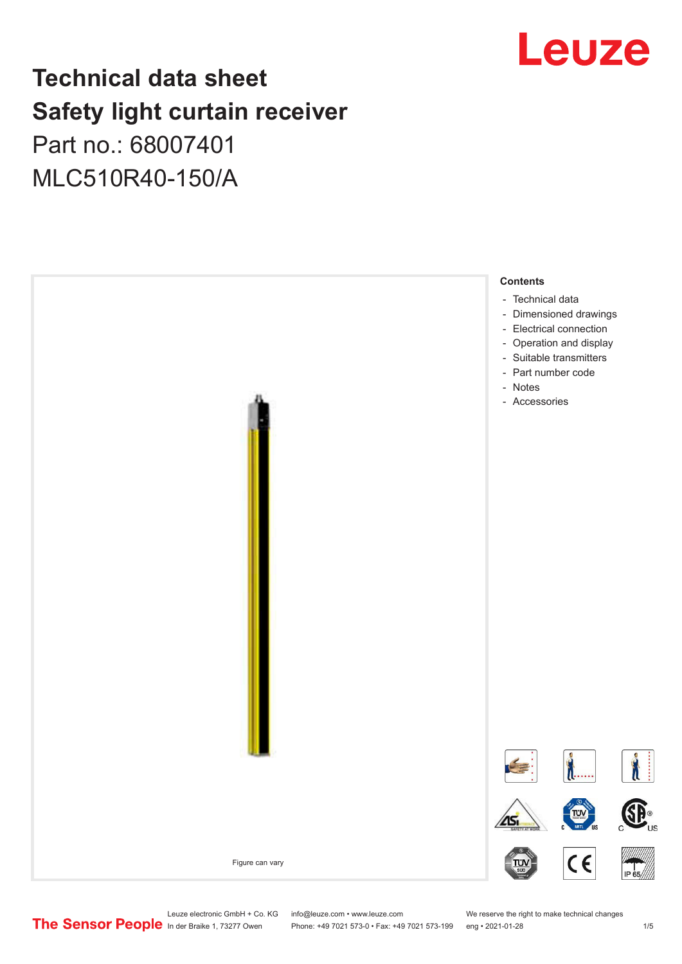## Leuze

## **Technical data sheet Safety light curtain receiver**

## Part no.: 68007401 MLC510R40-150/A



Leuze electronic GmbH + Co. KG info@leuze.com • www.leuze.com We reserve the right to make technical changes<br>
The Sensor People in der Braike 1, 73277 Owen Phone: +49 7021 573-0 • Fax: +49 7021 573-199 eng • 2021-01-28

Phone: +49 7021 573-0 • Fax: +49 7021 573-199 eng • 2021-01-28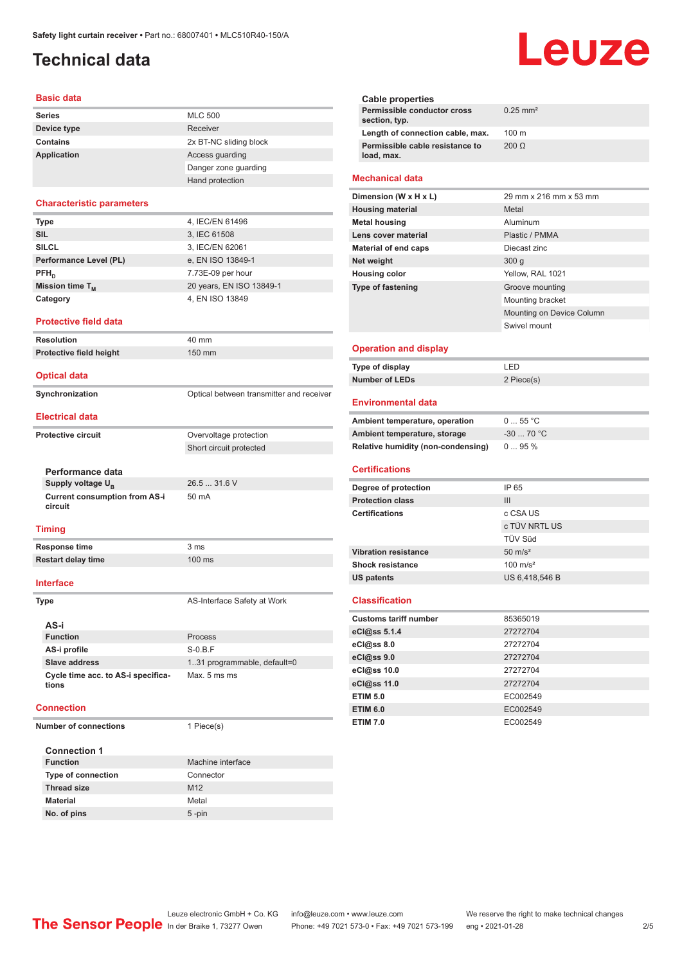## <span id="page-1-0"></span>**Technical data**

### **Basic data**

| <b>Series</b>      | <b>MLC 500</b>         |
|--------------------|------------------------|
| Device type        | Receiver               |
| Contains           | 2x BT-NC sliding block |
| <b>Application</b> | Access guarding        |
|                    | Danger zone guarding   |
|                    | Hand protection        |

### **Characteristic parameters**

| <b>Type</b>                 | 4, IEC/EN 61496          |
|-----------------------------|--------------------------|
| <b>SIL</b>                  | 3, IEC 61508             |
| <b>SILCL</b>                | 3, IEC/EN 62061          |
| Performance Level (PL)      | e, EN ISO 13849-1        |
| $PFH_n$                     | 7.73E-09 per hour        |
| Mission time T <sub>M</sub> | 20 years, EN ISO 13849-1 |
| Category                    | 4, EN ISO 13849          |
|                             |                          |

### **Protective field data**

**Resolution** 40 mm **Protective field height** 150 mm

**Optical data**

**Synchronization Synchronization** Optical between transmitter and receiver

**Electrical data**

**Protective circuit COVER COVER COVER COVER COVER COVER COVER COVER COVER COVER COVER COVER COVER COVER COVER** 

**Performance data Supply voltage U<sub>B</sub> Current consumption from AS-i circuit**

### **Timing**

**Response time** 3 ms **Restart delay time** 100 ms

**Interface**

**Type AS-Interface Safety at Work** 

Short circuit protected

26.5 ... 31.6 V

50 mA

| AS-i                                        |                              |
|---------------------------------------------|------------------------------|
| <b>Function</b>                             | <b>Process</b>               |
| AS-i profile                                | $S-0.B.F$                    |
| Slave address                               | 1.31 programmable, default=0 |
| Cycle time acc. to AS-i specifica-<br>tions | Max. 5 ms ms                 |

### **Connection**

**Number of connections** 1 Piece(s)

| <b>Connection 1</b>       |                   |
|---------------------------|-------------------|
| <b>Function</b>           | Machine interface |
| <b>Type of connection</b> | Connector         |
| <b>Thread size</b>        | M <sub>12</sub>   |
| <b>Material</b>           | Metal             |
| No. of pins               | $5 - pin$         |

| Cable properties                              |                        |
|-----------------------------------------------|------------------------|
| Permissible conductor cross<br>section, typ.  | $0.25$ mm <sup>2</sup> |
| Length of connection cable, max.              | $100 \text{ m}$        |
| Permissible cable resistance to<br>load, max. | $200 \Omega$           |

### **Mechanical data**

| Dimension (W x H x L)       | 29 mm x 216 mm x 53 mm    |
|-----------------------------|---------------------------|
| <b>Housing material</b>     | Metal                     |
| <b>Metal housing</b>        | Aluminum                  |
| Lens cover material         | Plastic / PMMA            |
| <b>Material of end caps</b> | Diecast zinc              |
| Net weight                  | 300q                      |
| <b>Housing color</b>        | Yellow, RAL 1021          |
| <b>Type of fastening</b>    | Groove mounting           |
|                             | Mounting bracket          |
|                             | Mounting on Device Column |
|                             | Swivel mount              |
|                             |                           |

### **Operation and display**

| Type of display | ' FD       |
|-----------------|------------|
| Number of LEDs  | 2 Piece(s) |

### **Environmental data**

| Ambient temperature, operation     | 055 °C     |
|------------------------------------|------------|
| Ambient temperature, storage       | $-3070 °C$ |
| Relative humidity (non-condensing) | $095\%$    |

### **Certifications**

| Degree of protection        | IP 65               |
|-----------------------------|---------------------|
| <b>Protection class</b>     | Ш                   |
| <b>Certifications</b>       | c CSA US            |
|                             | c TÜV NRTL US       |
|                             | <b>TÜV Süd</b>      |
| <b>Vibration resistance</b> | $50 \text{ m/s}^2$  |
| <b>Shock resistance</b>     | $100 \text{ m/s}^2$ |
| <b>US patents</b>           | US 6,418,546 B      |

### **Classification**

| <b>Customs tariff number</b> | 85365019 |
|------------------------------|----------|
| eCl@ss 5.1.4                 | 27272704 |
| eCl@ss 8.0                   | 27272704 |
| eCl@ss 9.0                   | 27272704 |
| eCl@ss 10.0                  | 27272704 |
| eCl@ss 11.0                  | 27272704 |
| <b>ETIM 5.0</b>              | EC002549 |
| <b>ETIM 6.0</b>              | EC002549 |
| <b>ETIM 7.0</b>              | EC002549 |

## Leuze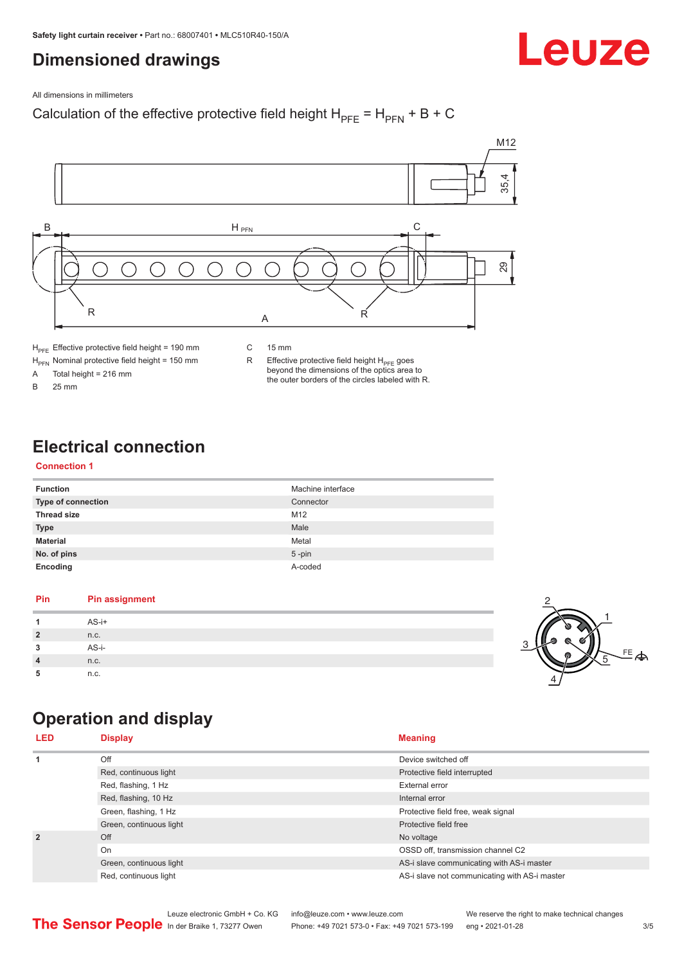## <span id="page-2-0"></span>**Dimensioned drawings**

# Leuze

All dimensions in millimeters

### Calculation of the effective protective field height  $H_{PFE} = H_{PFN} + B + C$



 $H<sub>PFE</sub>$  Effective protective field height = 190 mm

 $H_{\text{PFN}}$  Nominal protective field height = 150 mm<br>A Total height = 216 mm

Total height =  $216$  mm

B 25 mm

C 15 mm

R Effective protective field height  $H_{PFE}$  goes beyond the dimensions of the optics area to the outer borders of the circles labeled with R.

## **Electrical connection**

### **Connection 1**

| <b>Function</b>           | Machine interface |
|---------------------------|-------------------|
| <b>Type of connection</b> | Connector         |
| <b>Thread size</b>        | M <sub>12</sub>   |
| <b>Type</b>               | Male              |
| <b>Material</b>           | Metal             |
| No. of pins               | $5$ -pin          |
| Encoding                  | A-coded           |

### **Pin Pin assignment 1** AS-i+ **2** n.c. **3** AS-i-**4** n.c. **5** n.c.



## **Operation and display**

| <b>LED</b>     | <b>Display</b>          | <b>Meaning</b>                                |
|----------------|-------------------------|-----------------------------------------------|
| 1              | Off                     | Device switched off                           |
|                | Red, continuous light   | Protective field interrupted                  |
|                | Red, flashing, 1 Hz     | External error                                |
|                | Red, flashing, 10 Hz    | Internal error                                |
|                | Green, flashing, 1 Hz   | Protective field free, weak signal            |
|                | Green, continuous light | Protective field free                         |
| $\overline{2}$ | Off                     | No voltage                                    |
|                | On                      | OSSD off, transmission channel C2             |
|                | Green, continuous light | AS-i slave communicating with AS-i master     |
|                | Red, continuous light   | AS-i slave not communicating with AS-i master |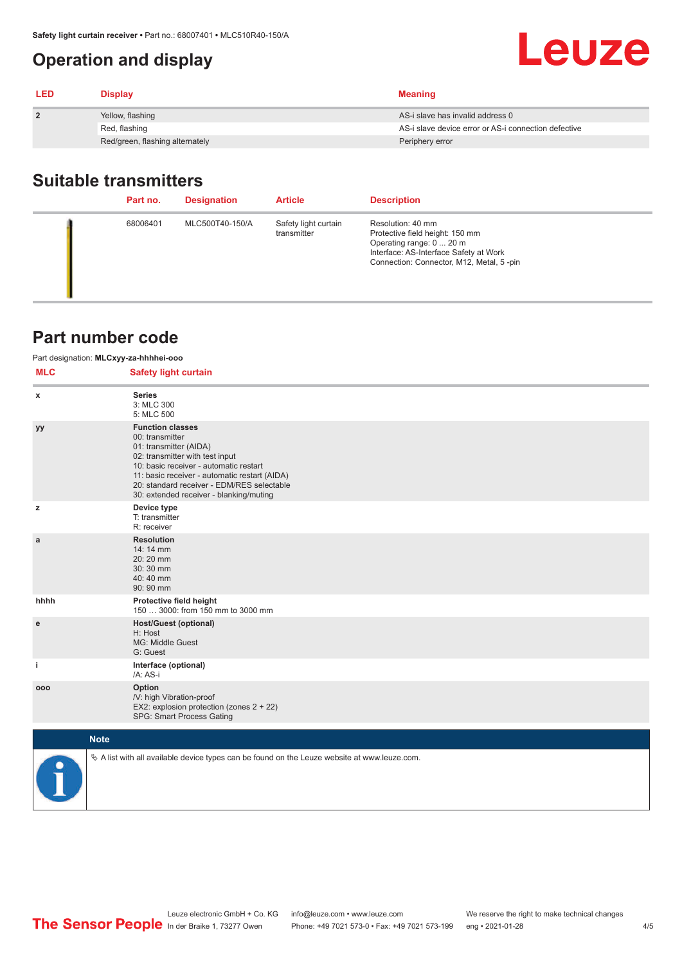## <span id="page-3-0"></span>**Operation and display**

| <b>LED</b>   | <b>Display</b>                  | <b>Meaning</b>                                       |
|--------------|---------------------------------|------------------------------------------------------|
| $\mathbf{2}$ | Yellow, flashing                | AS-i slave has invalid address 0                     |
|              | Red, flashing                   | AS-i slave device error or AS-i connection defective |
|              | Red/green, flashing alternately | Periphery error                                      |

## **Suitable transmitters**

| Part no. | <b>Designation</b> | <b>Article</b>                      | <b>Description</b>                                                                                                                                                     |
|----------|--------------------|-------------------------------------|------------------------------------------------------------------------------------------------------------------------------------------------------------------------|
| 68006401 | MLC500T40-150/A    | Safety light curtain<br>transmitter | Resolution: 40 mm<br>Protective field height: 150 mm<br>Operating range: 0  20 m<br>Interface: AS-Interface Safety at Work<br>Connection: Connector, M12, Metal, 5-pin |

### **Part number code**

| Part designation: MLCxyy-za-hhhhei-ooo |                                                                                                                                                                                                                                                                                             |  |  |  |
|----------------------------------------|---------------------------------------------------------------------------------------------------------------------------------------------------------------------------------------------------------------------------------------------------------------------------------------------|--|--|--|
| <b>MLC</b>                             | <b>Safety light curtain</b>                                                                                                                                                                                                                                                                 |  |  |  |
| x                                      | <b>Series</b><br>3: MLC 300<br>5: MLC 500                                                                                                                                                                                                                                                   |  |  |  |
| уy                                     | <b>Function classes</b><br>00: transmitter<br>01: transmitter (AIDA)<br>02: transmitter with test input<br>10: basic receiver - automatic restart<br>11: basic receiver - automatic restart (AIDA)<br>20: standard receiver - EDM/RES selectable<br>30: extended receiver - blanking/muting |  |  |  |
| z                                      | Device type<br>T: transmitter<br>R: receiver                                                                                                                                                                                                                                                |  |  |  |
| a                                      | <b>Resolution</b><br>14: 14 mm<br>20:20 mm<br>30:30 mm<br>40:40 mm<br>90: 90 mm                                                                                                                                                                                                             |  |  |  |
| hhhh                                   | Protective field height<br>150  3000: from 150 mm to 3000 mm                                                                                                                                                                                                                                |  |  |  |
| e                                      | <b>Host/Guest (optional)</b><br>H: Host<br>MG: Middle Guest<br>G: Guest                                                                                                                                                                                                                     |  |  |  |
| j.                                     | Interface (optional)<br>/A: AS-i                                                                                                                                                                                                                                                            |  |  |  |
| 000                                    | Option<br>/V: high Vibration-proof<br>EX2: explosion protection (zones 2 + 22)<br>SPG: Smart Process Gating                                                                                                                                                                                 |  |  |  |
|                                        | <b>Note</b>                                                                                                                                                                                                                                                                                 |  |  |  |
|                                        | $\&$ A list with all available device types can be found on the Leuze website at www.leuze.com.                                                                                                                                                                                             |  |  |  |

Leuze